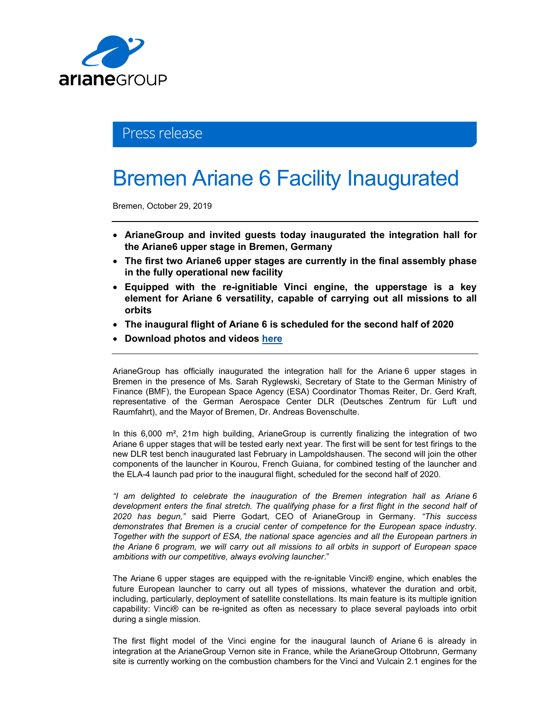

## Press release

# Bremen Ariane 6 Facility Inaugurated

Bremen, October 29, 2019

- ArianeGroup and invited guests today inaugurated the integration hall for the Ariane6 upper stage in Bremen, Germany
- The first two Ariane6 upper stages are currently in the final assembly phase in the fully operational new facility
- Equipped with the re-ignitiable Vinci engine, the upperstage is a key element for Ariane 6 versatility, capable of carrying out all missions to all orbits
- The inaugural flight of Ariane 6 is scheduled for the second half of 2020
- Download photos and videos here

ArianeGroup has officially inaugurated the integration hall for the Ariane 6 upper stages in Bremen in the presence of Ms. Sarah Ryglewski, Secretary of State to the German Ministry of Finance (BMF), the European Space Agency (ESA) Coordinator Thomas Reiter, Dr. Gerd Kraft, representative of the German Aerospace Center DLR (Deutsches Zentrum für Luft und Raumfahrt), and the Mayor of Bremen, Dr. Andreas Bovenschulte.

In this 6,000 m<sup>2</sup>, 21m high building, ArianeGroup is currently finalizing the integration of two Ariane 6 upper stages that will be tested early next year. The first will be sent for test firings to the new DLR test bench inaugurated last February in Lampoldshausen. The second will join the other components of the launcher in Kourou, French Guiana, for combined testing of the launcher and the ELA-4 launch pad prior to the inaugural flight, scheduled for the second half of 2020.

"I am delighted to celebrate the inauguration of the Bremen integration hall as Ariane 6 development enters the final stretch. The qualifying phase for a first flight in the second half of 2020 has begun," said Pierre Godart, CEO of ArianeGroup in Germany. "This success demonstrates that Bremen is a crucial center of competence for the European space industry. Together with the support of ESA, the national space agencies and all the European partners in the Ariane 6 program, we will carry out all missions to all orbits in support of European space ambitions with our competitive, always evolving launcher."

The Ariane 6 upper stages are equipped with the re-ignitable Vinci® engine, which enables the future European launcher to carry out all types of missions, whatever the duration and orbit, including, particularly, deployment of satellite constellations. Its main feature is its multiple ignition capability: Vinci® can be re-ignited as often as necessary to place several payloads into orbit during a single mission.

The first flight model of the Vinci engine for the inaugural launch of Ariane 6 is already in integration at the ArianeGroup Vernon site in France, while the ArianeGroup Ottobrunn, Germany site is currently working on the combustion chambers for the Vinci and Vulcain 2.1 engines for the